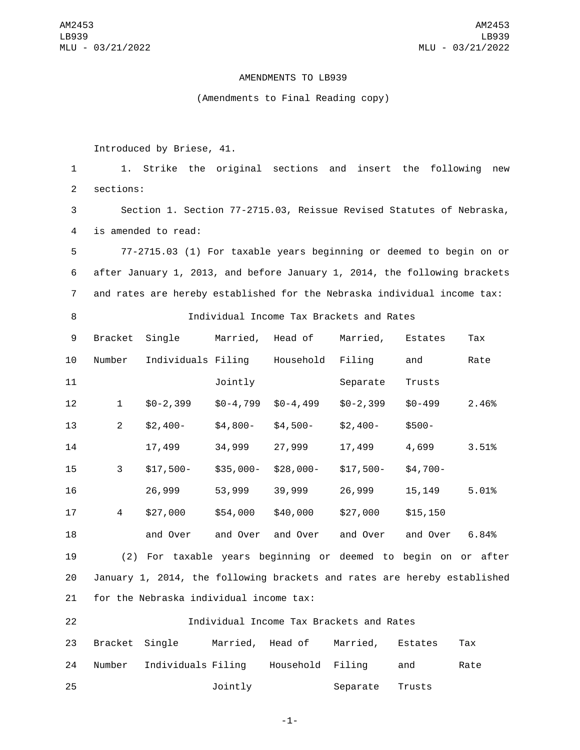AM2453 LB939 MLU - 03/21/2022

## AMENDMENTS TO LB939

## (Amendments to Final Reading copy)

Introduced by Briese, 41.

 1. Strike the original sections and insert the following new 2 sections: Section 1. Section 77-2715.03, Reissue Revised Statutes of Nebraska, 4 is amended to read: 77-2715.03 (1) For taxable years beginning or deemed to begin on or after January 1, 2013, and before January 1, 2014, the following brackets and rates are hereby established for the Nebraska individual income tax: Individual Income Tax Brackets and Rates 9 Bracket Single Married, Head of Married, Estates Tax 10 Number Individuals Filing Household Filing and Rate Jointly Separate Trusts \$0-2,399 \$0-4,799 \$0-4,499 \$0-2,399 \$0-499 2.46%

 17,499 34,999 27,999 17,499 4,699 3.51% \$17,500- \$35,000- \$28,000- \$17,500- \$4,700- 26,999 53,999 39,999 26,999 15,149 5.01% \$27,000 \$54,000 \$40,000 \$27,000 \$15,150 and Over and Over and Over and Over and Over 6.84%

213 \$2,400- \$4,800- \$4,500- \$2,400- \$500-

19 (2) For taxable years beginning or deemed to begin on or after 20 January 1, 2014, the following brackets and rates are hereby established 21 for the Nebraska individual income tax:

22 Individual Income Tax Brackets and Rates 23 Bracket Single Married, Head of Married, Estates Tax 24 Number Individuals Filing Household Filing and Rate 25 **120 Jointly** Separate Trusts

-1-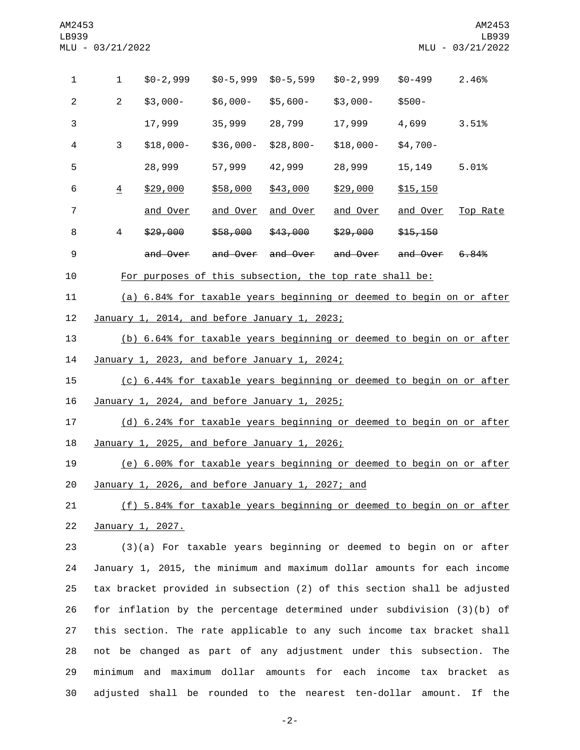| 1                | 1                                                                                                                                                | $$0-2,999$                                                           | $$0-5,999$      | \$0-5,599         | $$0-2,999$      | $$0 - 499$      | 2.46%    |
|------------------|--------------------------------------------------------------------------------------------------------------------------------------------------|----------------------------------------------------------------------|-----------------|-------------------|-----------------|-----------------|----------|
| $\overline{2}$   | $\overline{2}$                                                                                                                                   | $$3,000-$                                                            | \$6,000-        | \$5,600-          | \$3,000-        | $$500-$         |          |
| 3                |                                                                                                                                                  | 17,999                                                               | 35,999          | 28,799            | 17,999          | 4,699           | 3.51%    |
| 4                | 3                                                                                                                                                | $$18,000-$                                                           | \$36,000-       | \$28,800-         | $$18,000-$      | $$4,700-$       |          |
| 5                |                                                                                                                                                  | 28,999                                                               | 57,999          | 42,999            | 28,999          | 15,149          | 5.01%    |
| 6                | $\overline{4}$                                                                                                                                   | \$29,000                                                             | \$58,000        | \$43,000          | \$29,000        | \$15,150        |          |
| 7                |                                                                                                                                                  | and Over                                                             | <u>and Over</u> | <u>and Over</u>   | <u>and Over</u> | <u>and Over</u> | Top Rate |
| 8                | 4                                                                                                                                                | \$29,000                                                             | \$58,000        | \$43,000          | \$29,000        | \$15,150        |          |
| $\boldsymbol{9}$ |                                                                                                                                                  | and Over                                                             |                 | and Over and Over | and Over        | and Over        | 6,84%    |
| 10               |                                                                                                                                                  | For purposes of this subsection, the top rate shall be:              |                 |                   |                 |                 |          |
| 11               | (a) 6.84% for taxable years beginning or deemed to begin on or after                                                                             |                                                                      |                 |                   |                 |                 |          |
| 12               | January 1, 2014, and before January 1, 2023;                                                                                                     |                                                                      |                 |                   |                 |                 |          |
| 13               | (b) 6.64% for taxable years beginning or deemed to begin on or after                                                                             |                                                                      |                 |                   |                 |                 |          |
| 14               | January 1, 2023, and before January 1, 2024;                                                                                                     |                                                                      |                 |                   |                 |                 |          |
| 15               | (c) 6.44% for taxable years beginning or deemed to begin on or after                                                                             |                                                                      |                 |                   |                 |                 |          |
| 16               | January 1, 2024, and before January 1, 2025;                                                                                                     |                                                                      |                 |                   |                 |                 |          |
| 17               |                                                                                                                                                  | (d) 6.24% for taxable years beginning or deemed to begin on or after |                 |                   |                 |                 |          |
| 18               | January 1, 2025, and before January 1, 2026;                                                                                                     |                                                                      |                 |                   |                 |                 |          |
| 19               | (e) 6.00% for taxable years beginning or deemed to begin on or after                                                                             |                                                                      |                 |                   |                 |                 |          |
| 20               | January 1, 2026, and before January 1, 2027; and                                                                                                 |                                                                      |                 |                   |                 |                 |          |
| 21               | (f) 5.84% for taxable years beginning or deemed to begin on or after                                                                             |                                                                      |                 |                   |                 |                 |          |
| 22               | January 1, 2027.                                                                                                                                 |                                                                      |                 |                   |                 |                 |          |
| 23               | (3)(a) For taxable years beginning or deemed to begin on or after                                                                                |                                                                      |                 |                   |                 |                 |          |
| 24               | January 1, 2015, the minimum and maximum dollar amounts for each income                                                                          |                                                                      |                 |                   |                 |                 |          |
| 25               | tax bracket provided in subsection (2) of this section shall be adjusted                                                                         |                                                                      |                 |                   |                 |                 |          |
| 26               | for inflation by the percentage determined under subdivision (3)(b) of<br>this section. The rate applicable to any such income tax bracket shall |                                                                      |                 |                   |                 |                 |          |
| 27               |                                                                                                                                                  |                                                                      |                 |                   |                 |                 |          |
| 28               |                                                                                                                                                  | not be changed as part of any adjustment under this subsection. The  |                 |                   |                 |                 |          |

 minimum and maximum dollar amounts for each income tax bracket as adjusted shall be rounded to the nearest ten-dollar amount. If the

-2-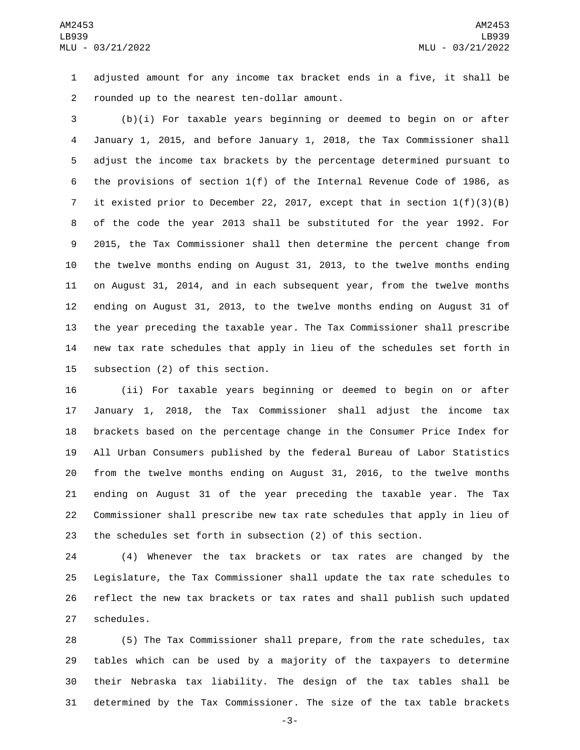adjusted amount for any income tax bracket ends in a five, it shall be 2 rounded up to the nearest ten-dollar amount.

 (b)(i) For taxable years beginning or deemed to begin on or after January 1, 2015, and before January 1, 2018, the Tax Commissioner shall adjust the income tax brackets by the percentage determined pursuant to the provisions of section 1(f) of the Internal Revenue Code of 1986, as it existed prior to December 22, 2017, except that in section 1(f)(3)(B) of the code the year 2013 shall be substituted for the year 1992. For 2015, the Tax Commissioner shall then determine the percent change from the twelve months ending on August 31, 2013, to the twelve months ending on August 31, 2014, and in each subsequent year, from the twelve months ending on August 31, 2013, to the twelve months ending on August 31 of the year preceding the taxable year. The Tax Commissioner shall prescribe new tax rate schedules that apply in lieu of the schedules set forth in 15 subsection (2) of this section.

 (ii) For taxable years beginning or deemed to begin on or after January 1, 2018, the Tax Commissioner shall adjust the income tax brackets based on the percentage change in the Consumer Price Index for All Urban Consumers published by the federal Bureau of Labor Statistics from the twelve months ending on August 31, 2016, to the twelve months ending on August 31 of the year preceding the taxable year. The Tax Commissioner shall prescribe new tax rate schedules that apply in lieu of the schedules set forth in subsection (2) of this section.

 (4) Whenever the tax brackets or tax rates are changed by the Legislature, the Tax Commissioner shall update the tax rate schedules to reflect the new tax brackets or tax rates and shall publish such updated 27 schedules.

 (5) The Tax Commissioner shall prepare, from the rate schedules, tax tables which can be used by a majority of the taxpayers to determine their Nebraska tax liability. The design of the tax tables shall be determined by the Tax Commissioner. The size of the tax table brackets

-3-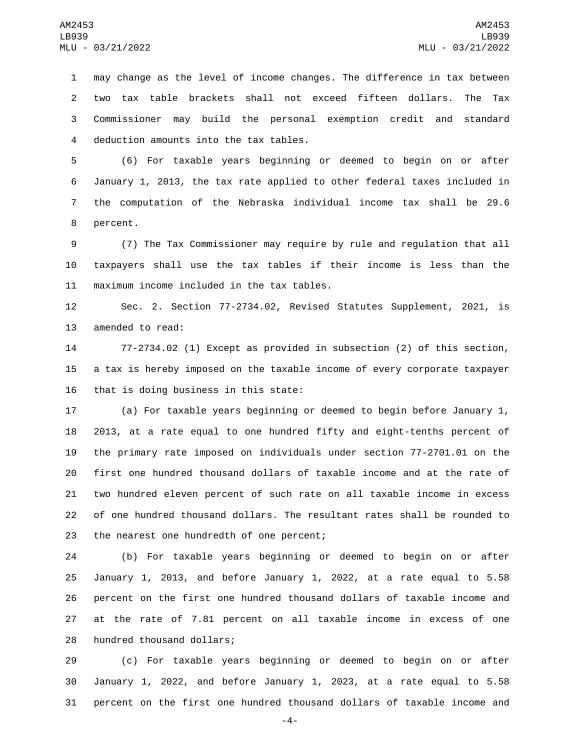may change as the level of income changes. The difference in tax between two tax table brackets shall not exceed fifteen dollars. The Tax Commissioner may build the personal exemption credit and standard 4 deduction amounts into the tax tables.

 (6) For taxable years beginning or deemed to begin on or after January 1, 2013, the tax rate applied to other federal taxes included in the computation of the Nebraska individual income tax shall be 29.6 8 percent.

 (7) The Tax Commissioner may require by rule and regulation that all taxpayers shall use the tax tables if their income is less than the 11 maximum income included in the tax tables.

 Sec. 2. Section 77-2734.02, Revised Statutes Supplement, 2021, is 13 amended to read:

 77-2734.02 (1) Except as provided in subsection (2) of this section, a tax is hereby imposed on the taxable income of every corporate taxpayer 16 that is doing business in this state:

 (a) For taxable years beginning or deemed to begin before January 1, 2013, at a rate equal to one hundred fifty and eight-tenths percent of the primary rate imposed on individuals under section 77-2701.01 on the first one hundred thousand dollars of taxable income and at the rate of two hundred eleven percent of such rate on all taxable income in excess of one hundred thousand dollars. The resultant rates shall be rounded to 23 the nearest one hundredth of one percent;

 (b) For taxable years beginning or deemed to begin on or after January 1, 2013, and before January 1, 2022, at a rate equal to 5.58 percent on the first one hundred thousand dollars of taxable income and at the rate of 7.81 percent on all taxable income in excess of one 28 hundred thousand dollars;

 (c) For taxable years beginning or deemed to begin on or after January 1, 2022, and before January 1, 2023, at a rate equal to 5.58 percent on the first one hundred thousand dollars of taxable income and

-4-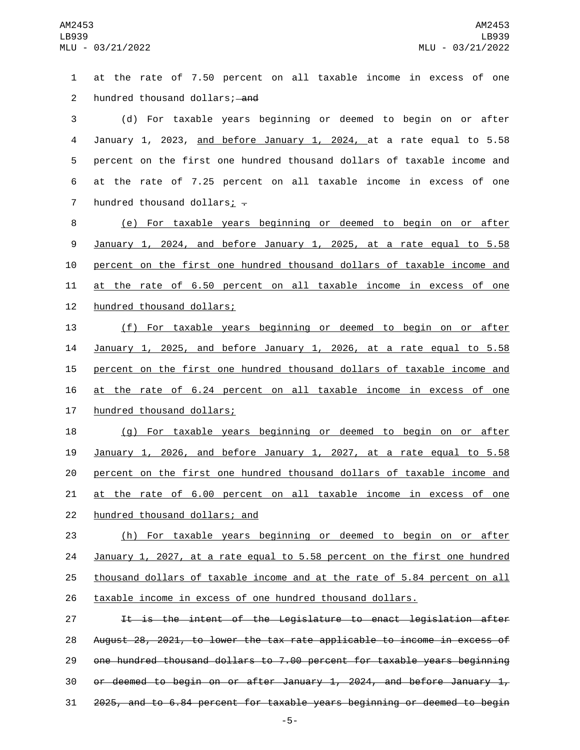at the rate of 7.50 percent on all taxable income in excess of one 2 hundred thousand dollars; and (d) For taxable years beginning or deemed to begin on or after January 1, 2023, and before January 1, 2024, at a rate equal to 5.58 percent on the first one hundred thousand dollars of taxable income and at the rate of 7.25 percent on all taxable income in excess of one 7 hundred thousand dollars;  $\overline{z}$  (e) For taxable years beginning or deemed to begin on or after January 1, 2024, and before January 1, 2025, at a rate equal to 5.58 percent on the first one hundred thousand dollars of taxable income and at the rate of 6.50 percent on all taxable income in excess of one 12 hundred thousand dollars; (f) For taxable years beginning or deemed to begin on or after January 1, 2025, and before January 1, 2026, at a rate equal to 5.58 percent on the first one hundred thousand dollars of taxable income and at the rate of 6.24 percent on all taxable income in excess of one 17 hundred thousand dollars; (g) For taxable years beginning or deemed to begin on or after January 1, 2026, and before January 1, 2027, at a rate equal to 5.58 percent on the first one hundred thousand dollars of taxable income and at the rate of 6.00 percent on all taxable income in excess of one 22 hundred thousand dollars; and (h) For taxable years beginning or deemed to begin on or after January 1, 2027, at a rate equal to 5.58 percent on the first one hundred thousand dollars of taxable income and at the rate of 5.84 percent on all taxable income in excess of one hundred thousand dollars. 27 11 It is the intent of the Legislature to enact legislation after August 28, 2021, to lower the tax rate applicable to income in excess of one hundred thousand dollars to 7.00 percent for taxable years beginning 30 or deemed to begin on or after January 1, 2024, and before January  $1<sub>r</sub>$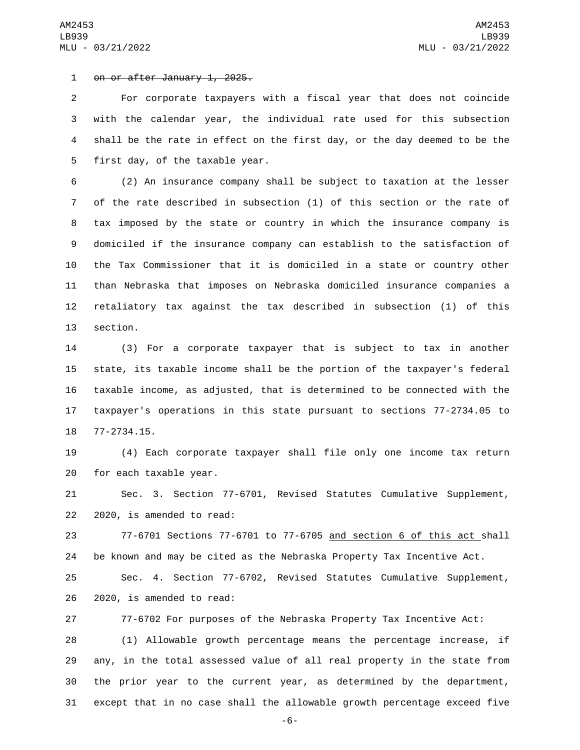1 on or after January 1, 2025.

 For corporate taxpayers with a fiscal year that does not coincide with the calendar year, the individual rate used for this subsection shall be the rate in effect on the first day, or the day deemed to be the 5 first day, of the taxable year.

 (2) An insurance company shall be subject to taxation at the lesser of the rate described in subsection (1) of this section or the rate of tax imposed by the state or country in which the insurance company is domiciled if the insurance company can establish to the satisfaction of the Tax Commissioner that it is domiciled in a state or country other than Nebraska that imposes on Nebraska domiciled insurance companies a retaliatory tax against the tax described in subsection (1) of this 13 section.

 (3) For a corporate taxpayer that is subject to tax in another state, its taxable income shall be the portion of the taxpayer's federal taxable income, as adjusted, that is determined to be connected with the taxpayer's operations in this state pursuant to sections 77-2734.05 to 18 77-2734.15.

 (4) Each corporate taxpayer shall file only one income tax return 20 for each taxable year.

 Sec. 3. Section 77-6701, Revised Statutes Cumulative Supplement,  $2020$ , is amended to read:

 77-6701 Sections 77-6701 to 77-6705 and section 6 of this act shall be known and may be cited as the Nebraska Property Tax Incentive Act. Sec. 4. Section 77-6702, Revised Statutes Cumulative Supplement, 26 2020, is amended to read:

77-6702 For purposes of the Nebraska Property Tax Incentive Act:

 (1) Allowable growth percentage means the percentage increase, if any, in the total assessed value of all real property in the state from the prior year to the current year, as determined by the department, except that in no case shall the allowable growth percentage exceed five

-6-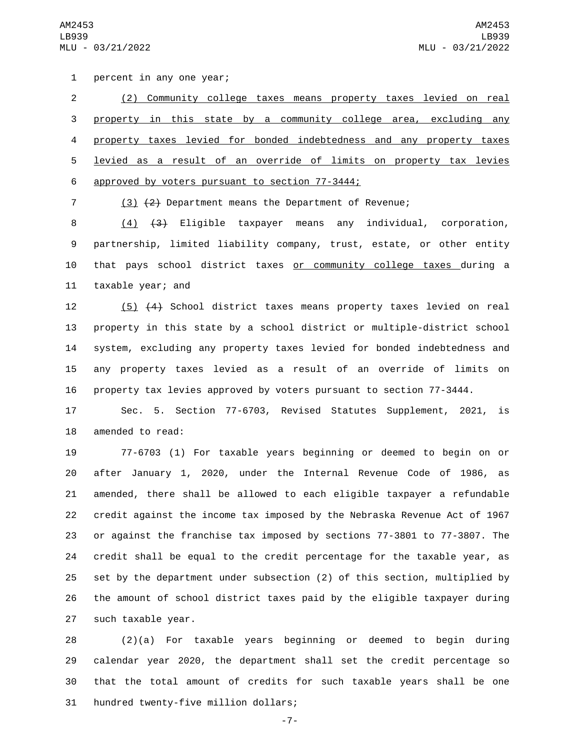1 percent in any one year;

 (2) Community college taxes means property taxes levied on real property in this state by a community college area, excluding any property taxes levied for bonded indebtedness and any property taxes levied as a result of an override of limits on property tax levies 6 approved by voters pursuant to section 77-3444;

(3) (2) Department means the Department of Revenue;

 (4) (3) Eligible taxpayer means any individual, corporation, partnership, limited liability company, trust, estate, or other entity that pays school district taxes or community college taxes during a 11 taxable year; and

 (5) (4) School district taxes means property taxes levied on real property in this state by a school district or multiple-district school system, excluding any property taxes levied for bonded indebtedness and any property taxes levied as a result of an override of limits on property tax levies approved by voters pursuant to section 77-3444.

 Sec. 5. Section 77-6703, Revised Statutes Supplement, 2021, is 18 amended to read:

 77-6703 (1) For taxable years beginning or deemed to begin on or after January 1, 2020, under the Internal Revenue Code of 1986, as amended, there shall be allowed to each eligible taxpayer a refundable credit against the income tax imposed by the Nebraska Revenue Act of 1967 or against the franchise tax imposed by sections 77-3801 to 77-3807. The credit shall be equal to the credit percentage for the taxable year, as set by the department under subsection (2) of this section, multiplied by the amount of school district taxes paid by the eligible taxpayer during 27 such taxable year.

 (2)(a) For taxable years beginning or deemed to begin during calendar year 2020, the department shall set the credit percentage so that the total amount of credits for such taxable years shall be one 31 hundred twenty-five million dollars;

-7-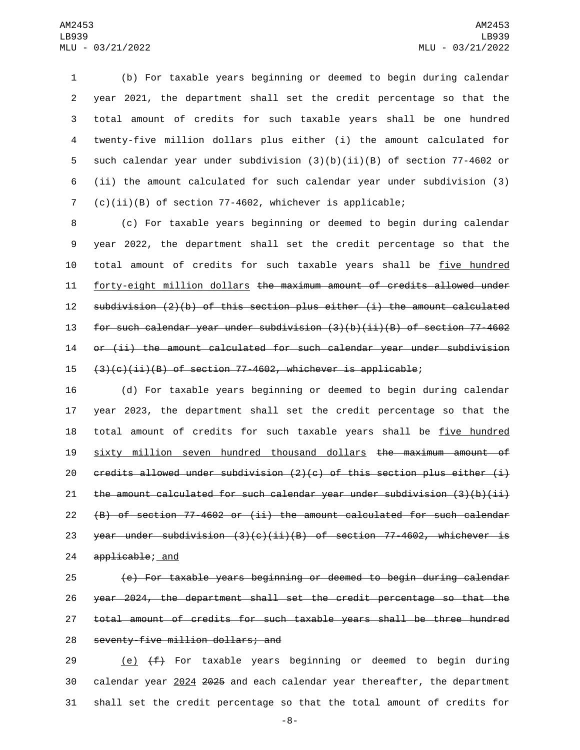(b) For taxable years beginning or deemed to begin during calendar year 2021, the department shall set the credit percentage so that the total amount of credits for such taxable years shall be one hundred twenty-five million dollars plus either (i) the amount calculated for such calendar year under subdivision (3)(b)(ii)(B) of section 77-4602 or (ii) the amount calculated for such calendar year under subdivision (3) (c)(ii)(B) of section 77-4602, whichever is applicable;

 (c) For taxable years beginning or deemed to begin during calendar year 2022, the department shall set the credit percentage so that the total amount of credits for such taxable years shall be five hundred forty-eight million dollars the maximum amount of credits allowed under subdivision (2)(b) of this section plus either (i) the amount calculated for such calendar year under subdivision (3)(b)(ii)(B) of section 77-4602 or (ii) the amount calculated for such calendar year under subdivision  $(3)(c)(ii)(B)$  of section 77-4602, whichever is applicable;

 (d) For taxable years beginning or deemed to begin during calendar year 2023, the department shall set the credit percentage so that the 18 total amount of credits for such taxable years shall be five hundred sixty million seven hundred thousand dollars the maximum amount of 20 credits allowed under subdivision  $(2)(c)$  of this section plus either  $(i)$ 21 the amount calculated for such calendar year under subdivision  $(3)(b)(ii)$  (B) of section 77-4602 or (ii) the amount calculated for such calendar 23 year under subdivision  $(3)(c)(ii)(B)$  of section 77-4602, whichever is 24 applicable; and

 (e) For taxable years beginning or deemed to begin during calendar year 2024, the department shall set the credit percentage so that the total amount of credits for such taxable years shall be three hundred 28 seventy-five million dollars; and

29  $(e)$   $(f)$  For taxable years beginning or deemed to begin during calendar year 2024 2025 and each calendar year thereafter, the department shall set the credit percentage so that the total amount of credits for

-8-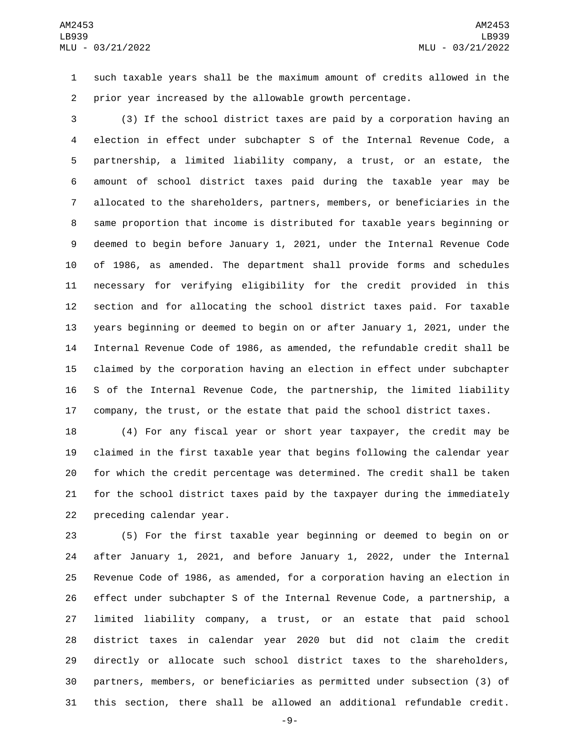such taxable years shall be the maximum amount of credits allowed in the prior year increased by the allowable growth percentage.

 (3) If the school district taxes are paid by a corporation having an election in effect under subchapter S of the Internal Revenue Code, a partnership, a limited liability company, a trust, or an estate, the amount of school district taxes paid during the taxable year may be allocated to the shareholders, partners, members, or beneficiaries in the same proportion that income is distributed for taxable years beginning or deemed to begin before January 1, 2021, under the Internal Revenue Code of 1986, as amended. The department shall provide forms and schedules necessary for verifying eligibility for the credit provided in this section and for allocating the school district taxes paid. For taxable years beginning or deemed to begin on or after January 1, 2021, under the Internal Revenue Code of 1986, as amended, the refundable credit shall be claimed by the corporation having an election in effect under subchapter S of the Internal Revenue Code, the partnership, the limited liability company, the trust, or the estate that paid the school district taxes.

 (4) For any fiscal year or short year taxpayer, the credit may be claimed in the first taxable year that begins following the calendar year for which the credit percentage was determined. The credit shall be taken for the school district taxes paid by the taxpayer during the immediately 22 preceding calendar year.

 (5) For the first taxable year beginning or deemed to begin on or after January 1, 2021, and before January 1, 2022, under the Internal Revenue Code of 1986, as amended, for a corporation having an election in effect under subchapter S of the Internal Revenue Code, a partnership, a limited liability company, a trust, or an estate that paid school district taxes in calendar year 2020 but did not claim the credit directly or allocate such school district taxes to the shareholders, partners, members, or beneficiaries as permitted under subsection (3) of this section, there shall be allowed an additional refundable credit.

-9-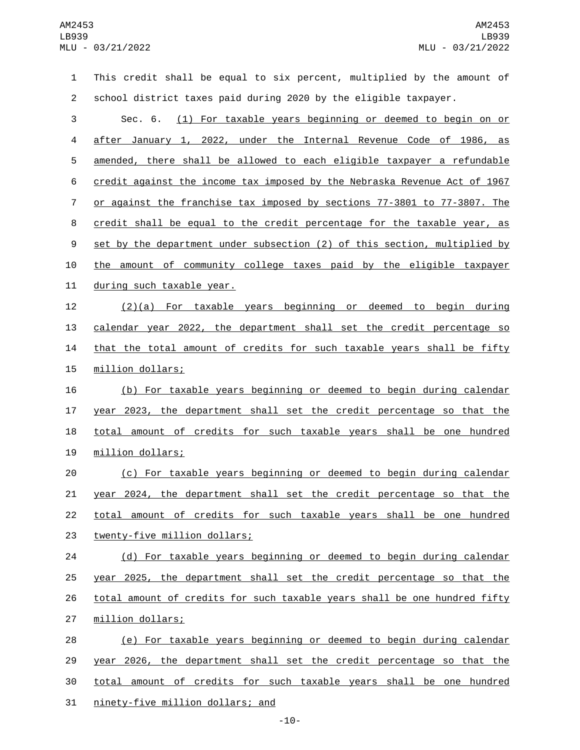This credit shall be equal to six percent, multiplied by the amount of school district taxes paid during 2020 by the eligible taxpayer. Sec. 6. (1) For taxable years beginning or deemed to begin on or after January 1, 2022, under the Internal Revenue Code of 1986, as amended, there shall be allowed to each eligible taxpayer a refundable credit against the income tax imposed by the Nebraska Revenue Act of 1967 or against the franchise tax imposed by sections 77-3801 to 77-3807. The credit shall be equal to the credit percentage for the taxable year, as 9 set by the department under subsection (2) of this section, multiplied by the amount of community college taxes paid by the eligible taxpayer 11 during such taxable year. (2)(a) For taxable years beginning or deemed to begin during calendar year 2022, the department shall set the credit percentage so 14 that the total amount of credits for such taxable years shall be fifty 15 million dollars; (b) For taxable years beginning or deemed to begin during calendar year 2023, the department shall set the credit percentage so that the 18 total amount of credits for such taxable years shall be one hundred 19 million dollars; (c) For taxable years beginning or deemed to begin during calendar year 2024, the department shall set the credit percentage so that the total amount of credits for such taxable years shall be one hundred 23 twenty-five million dollars; (d) For taxable years beginning or deemed to begin during calendar year 2025, the department shall set the credit percentage so that the 26 total amount of credits for such taxable years shall be one hundred fifty 27 million dollars; (e) For taxable years beginning or deemed to begin during calendar year 2026, the department shall set the credit percentage so that the total amount of credits for such taxable years shall be one hundred 31 ninety-five million dollars; and

-10-